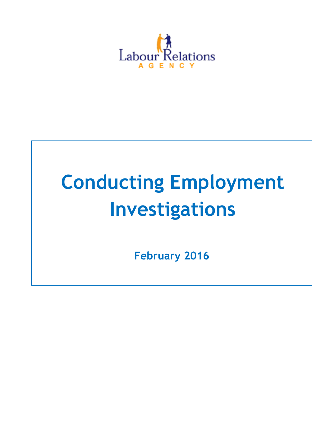

# **Conducting Employment Investigations**

**February 2016**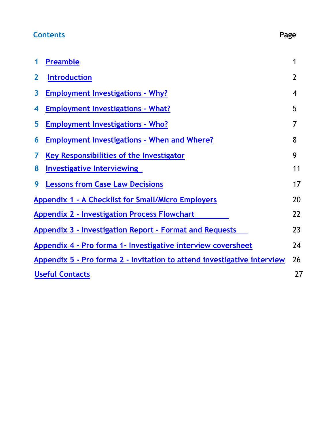# **Contents Page**

| 1                                                                       | <b>Preamble</b>                                                | 1              |
|-------------------------------------------------------------------------|----------------------------------------------------------------|----------------|
| $\overline{2}$                                                          | <b>Introduction</b>                                            | $\overline{2}$ |
| $\overline{\mathbf{3}}$                                                 | <b>Employment Investigations - Why?</b>                        | 4              |
| 4                                                                       | <b>Employment Investigations - What?</b>                       | 5              |
| 5                                                                       | <b>Employment Investigations - Who?</b>                        | 7              |
| 6                                                                       | <b>Employment Investigations - When and Where?</b>             | 8              |
| 7                                                                       | Key Responsibilities of the Investigator                       | 9              |
| 8                                                                       | <b>Investigative Interviewing</b>                              | 11             |
| 9                                                                       | <b>Lessons from Case Law Decisions</b>                         | 17             |
|                                                                         | <b>Appendix 1 - A Checklist for Small/Micro Employers</b>      | 20             |
|                                                                         | <b>Appendix 2 - Investigation Process Flowchart</b>            | 22             |
|                                                                         | <b>Appendix 3 - Investigation Report - Format and Requests</b> |                |
| Appendix 4 - Pro forma 1- Investigative interview coversheet            |                                                                | 24             |
| Appendix 5 - Pro forma 2 - Invitation to attend investigative interview |                                                                | 26             |
| <b>Useful Contacts</b>                                                  |                                                                | 27             |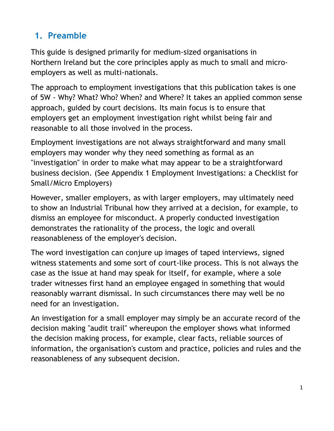# <span id="page-2-0"></span>**1. Preamble**

This guide is designed primarily for medium-sized organisations in Northern Ireland but the core principles apply as much to small and microemployers as well as multi-nationals.

The approach to employment investigations that this publication takes is one of 5W - Why? What? Who? When? and Where? It takes an applied common sense approach, guided by court decisions. Its main focus is to ensure that employers get an employment investigation right whilst being fair and reasonable to all those involved in the process.

Employment investigations are not always straightforward and many small employers may wonder why they need something as formal as an "investigation" in order to make what may appear to be a straightforward business decision. (See Appendix 1 Employment Investigations: a Checklist for Small/Micro Employers)

However, smaller employers, as with larger employers, may ultimately need to show an Industrial Tribunal how they arrived at a decision, for example, to dismiss an employee for misconduct. A properly conducted investigation demonstrates the rationality of the process, the logic and overall reasonableness of the employer's decision.

The word investigation can conjure up images of taped interviews, signed witness statements and some sort of court-like process. This is not always the case as the issue at hand may speak for itself, for example, where a sole trader witnesses first hand an employee engaged in something that would reasonably warrant dismissal. In such circumstances there may well be no need for an investigation.

An investigation for a small employer may simply be an accurate record of the decision making "audit trail" whereupon the employer shows what informed the decision making process, for example, clear facts, reliable sources of information, the organisation's custom and practice, policies and rules and the reasonableness of any subsequent decision.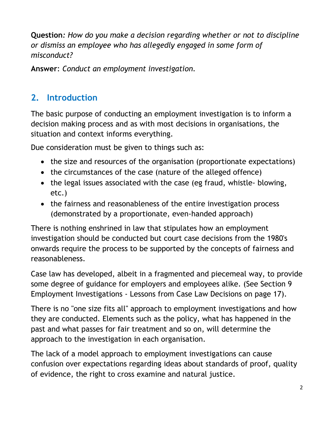**Question***: How do you make a decision regarding whether or not to discipline or dismiss an employee who has allegedly engaged in some form of misconduct?*

**Answer**: *Conduct an employment investigation.*

# <span id="page-3-0"></span>**2. Introduction**

The basic purpose of conducting an employment investigation is to inform a decision making process and as with most decisions in organisations, the situation and context informs everything.

Due consideration must be given to things such as:

- the size and resources of the organisation (proportionate expectations)
- the circumstances of the case (nature of the alleged offence)
- the legal issues associated with the case (eg fraud, whistle- blowing, etc.)
- the fairness and reasonableness of the entire investigation process (demonstrated by a proportionate, even-handed approach)

There is nothing enshrined in law that stipulates how an employment investigation should be conducted but court case decisions from the 1980's onwards require the process to be supported by the concepts of fairness and reasonableness.

Case law has developed, albeit in a fragmented and piecemeal way, to provide some degree of guidance for employers and employees alike. (See Section 9 Employment Investigations - Lessons from Case Law Decisions on page 17).

There is no "one size fits all" approach to employment investigations and how they are conducted. Elements such as the policy, what has happened in the past and what passes for fair treatment and so on, will determine the approach to the investigation in each organisation.

The lack of a model approach to employment investigations can cause confusion over expectations regarding ideas about standards of proof, quality of evidence, the right to cross examine and natural justice.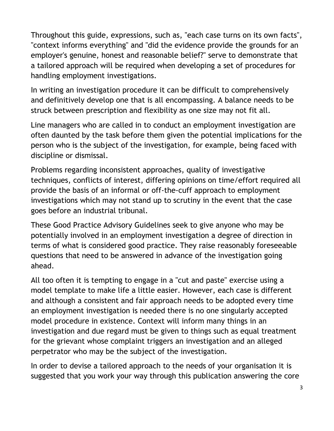Throughout this guide, expressions, such as, "each case turns on its own facts", "context informs everything" and "did the evidence provide the grounds for an employer's genuine, honest and reasonable belief?" serve to demonstrate that a tailored approach will be required when developing a set of procedures for handling employment investigations.

In writing an investigation procedure it can be difficult to comprehensively and definitively develop one that is all encompassing. A balance needs to be struck between prescription and flexibility as one size may not fit all.

Line managers who are called in to conduct an employment investigation are often daunted by the task before them given the potential implications for the person who is the subject of the investigation, for example, being faced with discipline or dismissal.

Problems regarding inconsistent approaches, quality of investigative techniques, conflicts of interest, differing opinions on time/effort required all provide the basis of an informal or off-the-cuff approach to employment investigations which may not stand up to scrutiny in the event that the case goes before an industrial tribunal.

These Good Practice Advisory Guidelines seek to give anyone who may be potentially involved in an employment investigation a degree of direction in terms of what is considered good practice. They raise reasonably foreseeable questions that need to be answered in advance of the investigation going ahead.

All too often it is tempting to engage in a "cut and paste" exercise using a model template to make life a little easier. However, each case is different and although a consistent and fair approach needs to be adopted every time an employment investigation is needed there is no one singularly accepted model procedure in existence. Context will inform many things in an investigation and due regard must be given to things such as equal treatment for the grievant whose complaint triggers an investigation and an alleged perpetrator who may be the subject of the investigation.

In order to devise a tailored approach to the needs of your organisation it is suggested that you work your way through this publication answering the core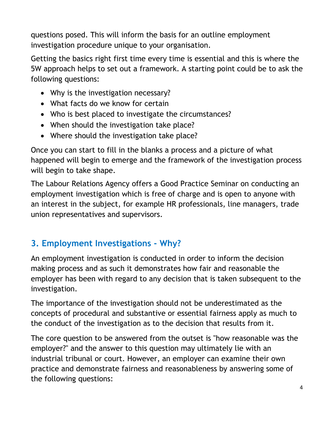questions posed. This will inform the basis for an outline employment investigation procedure unique to your organisation.

Getting the basics right first time every time is essential and this is where the 5W approach helps to set out a framework. A starting point could be to ask the following questions:

- Why is the investigation necessary?
- What facts do we know for certain
- Who is best placed to investigate the circumstances?
- When should the investigation take place?
- Where should the investigation take place?

Once you can start to fill in the blanks a process and a picture of what happened will begin to emerge and the framework of the investigation process will begin to take shape.

The Labour Relations Agency offers a Good Practice Seminar on conducting an employment investigation which is free of charge and is open to anyone with an interest in the subject, for example HR professionals, line managers, trade union representatives and supervisors.

# <span id="page-5-0"></span>**3. Employment Investigations - Why?**

An employment investigation is conducted in order to inform the decision making process and as such it demonstrates how fair and reasonable the employer has been with regard to any decision that is taken subsequent to the investigation.

The importance of the investigation should not be underestimated as the concepts of procedural and substantive or essential fairness apply as much to the conduct of the investigation as to the decision that results from it.

The core question to be answered from the outset is "how reasonable was the employer?" and the answer to this question may ultimately lie with an industrial tribunal or court. However, an employer can examine their own practice and demonstrate fairness and reasonableness by answering some of the following questions: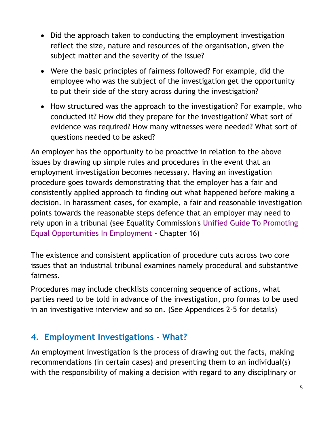- Did the approach taken to conducting the employment investigation reflect the size, nature and resources of the organisation, given the subject matter and the severity of the issue?
- Were the basic principles of fairness followed? For example, did the employee who was the subject of the investigation get the opportunity to put their side of the story across during the investigation?
- How structured was the approach to the investigation? For example, who conducted it? How did they prepare for the investigation? What sort of evidence was required? How many witnesses were needed? What sort of questions needed to be asked?

An employer has the opportunity to be proactive in relation to the above issues by drawing up simple rules and procedures in the event that an employment investigation becomes necessary. Having an investigation procedure goes towards demonstrating that the employer has a fair and consistently applied approach to finding out what happened before making a decision. In harassment cases, for example, a fair and reasonable investigation points towards the reasonable steps defence that an employer may need to rely upon in a tribunal (see Equality Commission's [Unified Guide To Promoting](http://www.equalityni.org/Publications/Employers-Service-Providers/Employment-issues/Promoting-equal-opportunities-in-employment-unifie?ID=363)  [Equal Opportunities In](http://www.equalityni.org/Publications/Employers-Service-Providers/Employment-issues/Promoting-equal-opportunities-in-employment-unifie?ID=363) Employment - Chapter 16)

The existence and consistent application of procedure cuts across two core issues that an industrial tribunal examines namely procedural and substantive fairness.

Procedures may include checklists concerning sequence of actions, what parties need to be told in advance of the investigation, pro formas to be used in an investigative interview and so on. (See Appendices 2-5 for details)

### <span id="page-6-0"></span>**4. Employment Investigations - What?**

An employment investigation is the process of drawing out the facts, making recommendations (in certain cases) and presenting them to an individual(s) with the responsibility of making a decision with regard to any disciplinary or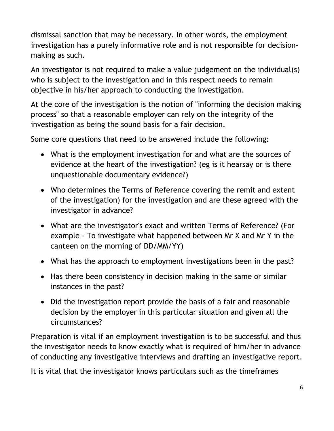dismissal sanction that may be necessary. In other words, the employment investigation has a purely informative role and is not responsible for decisionmaking as such.

An investigator is not required to make a value judgement on the individual(s) who is subject to the investigation and in this respect needs to remain objective in his/her approach to conducting the investigation.

At the core of the investigation is the notion of "informing the decision making process" so that a reasonable employer can rely on the integrity of the investigation as being the sound basis for a fair decision.

Some core questions that need to be answered include the following:

- What is the employment investigation for and what are the sources of evidence at the heart of the investigation? (eg is it hearsay or is there unquestionable documentary evidence?)
- Who determines the Terms of Reference covering the remit and extent of the investigation) for the investigation and are these agreed with the investigator in advance?
- What are the investigator's exact and written Terms of Reference? (For example - To investigate what happened between Mr X and Mr Y in the canteen on the morning of DD/MM/YY)
- What has the approach to employment investigations been in the past?
- Has there been consistency in decision making in the same or similar instances in the past?
- Did the investigation report provide the basis of a fair and reasonable decision by the employer in this particular situation and given all the circumstances?

Preparation is vital if an employment investigation is to be successful and thus the investigator needs to know exactly what is required of him/her in advance of conducting any investigative interviews and drafting an investigative report.

It is vital that the investigator knows particulars such as the timeframes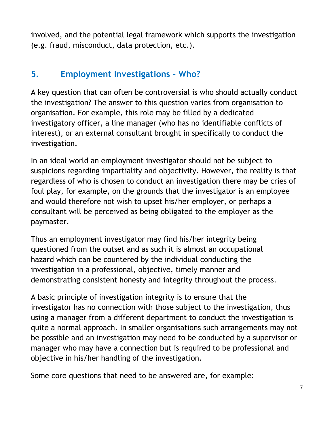involved, and the potential legal framework which supports the investigation (e.g. fraud, misconduct, data protection, etc.).

# <span id="page-8-0"></span>**5. Employment Investigations - Who?**

A key question that can often be controversial is who should actually conduct the investigation? The answer to this question varies from organisation to organisation. For example, this role may be filled by a dedicated investigatory officer, a line manager (who has no identifiable conflicts of interest), or an external consultant brought in specifically to conduct the investigation.

In an ideal world an employment investigator should not be subject to suspicions regarding impartiality and objectivity. However, the reality is that regardless of who is chosen to conduct an investigation there may be cries of foul play, for example, on the grounds that the investigator is an employee and would therefore not wish to upset his/her employer, or perhaps a consultant will be perceived as being obligated to the employer as the paymaster.

Thus an employment investigator may find his/her integrity being questioned from the outset and as such it is almost an occupational hazard which can be countered by the individual conducting the investigation in a professional, objective, timely manner and demonstrating consistent honesty and integrity throughout the process.

A basic principle of investigation integrity is to ensure that the investigator has no connection with those subject to the investigation, thus using a manager from a different department to conduct the investigation is quite a normal approach. In smaller organisations such arrangements may not be possible and an investigation may need to be conducted by a supervisor or manager who may have a connection but is required to be professional and objective in his/her handling of the investigation.

Some core questions that need to be answered are, for example: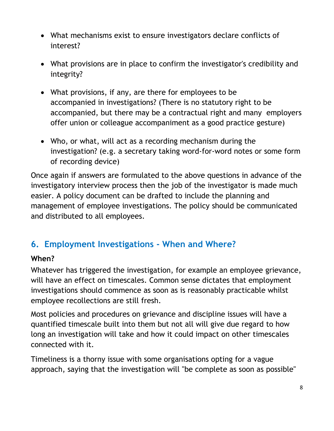- What mechanisms exist to ensure investigators declare conflicts of interest?
- What provisions are in place to confirm the investigator's credibility and integrity?
- What provisions, if any, are there for employees to be accompanied in investigations? (There is no statutory right to be accompanied, but there may be a contractual right and many employers offer union or colleague accompaniment as a good practice gesture)
- Who, or what, will act as a recording mechanism during the investigation? (e.g. a secretary taking word-for-word notes or some form of recording device)

Once again if answers are formulated to the above questions in advance of the investigatory interview process then the job of the investigator is made much easier. A policy document can be drafted to include the planning and management of employee investigations. The policy should be communicated and distributed to all employees.

### <span id="page-9-0"></span>**6. Employment Investigations - When and Where?**

#### **When?**

Whatever has triggered the investigation, for example an employee grievance, will have an effect on timescales. Common sense dictates that employment investigations should commence as soon as is reasonably practicable whilst employee recollections are still fresh.

Most policies and procedures on grievance and discipline issues will have a quantified timescale built into them but not all will give due regard to how long an investigation will take and how it could impact on other timescales connected with it.

Timeliness is a thorny issue with some organisations opting for a vague approach, saying that the investigation will "be complete as soon as possible"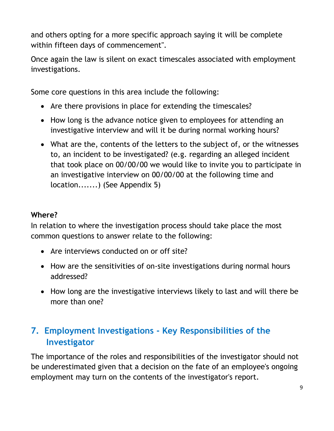and others opting for a more specific approach saying it will be complete within fifteen days of commencement".

Once again the law is silent on exact timescales associated with employment investigations.

Some core questions in this area include the following:

- Are there provisions in place for extending the timescales?
- How long is the advance notice given to employees for attending an investigative interview and will it be during normal working hours?
- What are the, contents of the letters to the subject of, or the witnesses to, an incident to be investigated? (e.g. regarding an alleged incident that took place on 00/00/00 we would like to invite you to participate in an investigative interview on 00/00/00 at the following time and location.......) (See Appendix 5)

#### **Where?**

In relation to where the investigation process should take place the most common questions to answer relate to the following:

- Are interviews conducted on or off site?
- How are the sensitivities of on-site investigations during normal hours addressed?
- How long are the investigative interviews likely to last and will there be more than one?

# <span id="page-10-0"></span>**7. Employment Investigations - Key Responsibilities of the Investigator**

The importance of the roles and responsibilities of the investigator should not be underestimated given that a decision on the fate of an employee's ongoing employment may turn on the contents of the investigator's report.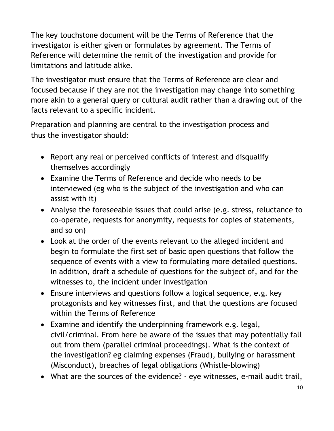The key touchstone document will be the Terms of Reference that the investigator is either given or formulates by agreement. The Terms of Reference will determine the remit of the investigation and provide for limitations and latitude alike.

The investigator must ensure that the Terms of Reference are clear and focused because if they are not the investigation may change into something more akin to a general query or cultural audit rather than a drawing out of the facts relevant to a specific incident.

Preparation and planning are central to the investigation process and thus the investigator should:

- Report any real or perceived conflicts of interest and disqualify themselves accordingly
- Examine the Terms of Reference and decide who needs to be interviewed (eg who is the subject of the investigation and who can assist with it)
- Analyse the foreseeable issues that could arise (e.g. stress, reluctance to co-operate, requests for anonymity, requests for copies of statements, and so on)
- Look at the order of the events relevant to the alleged incident and begin to formulate the first set of basic open questions that follow the sequence of events with a view to formulating more detailed questions. In addition, draft a schedule of questions for the subject of, and for the witnesses to, the incident under investigation
- Ensure interviews and questions follow a logical sequence, e.g. key protagonists and key witnesses first, and that the questions are focused within the Terms of Reference
- Examine and identify the underpinning framework e.g. legal, civil/criminal. From here be aware of the issues that may potentially fall out from them (parallel criminal proceedings). What is the context of the investigation? eg claiming expenses (Fraud), bullying or harassment (Misconduct), breaches of legal obligations (Whistle-blowing)
- What are the sources of the evidence? eye witnesses, e-mail audit trail,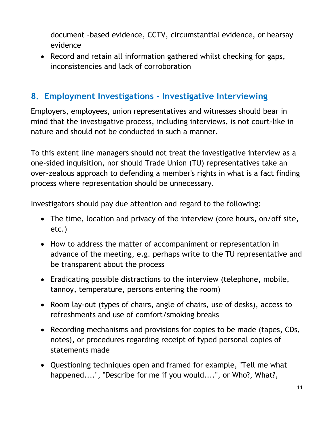document -based evidence, CCTV, circumstantial evidence, or hearsay evidence

• Record and retain all information gathered whilst checking for gaps, inconsistencies and lack of corroboration

#### <span id="page-12-0"></span>**8. Employment Investigations – Investigative Interviewing**

Employers, employees, union representatives and witnesses should bear in mind that the investigative process, including interviews, is not court-like in nature and should not be conducted in such a manner.

To this extent line managers should not treat the investigative interview as a one-sided inquisition, nor should Trade Union (TU) representatives take an over-zealous approach to defending a member's rights in what is a fact finding process where representation should be unnecessary.

Investigators should pay due attention and regard to the following:

- The time, location and privacy of the interview (core hours, on/off site, etc.)
- How to address the matter of accompaniment or representation in advance of the meeting, e.g. perhaps write to the TU representative and be transparent about the process
- Eradicating possible distractions to the interview (telephone, mobile, tannoy, temperature, persons entering the room)
- Room lay-out (types of chairs, angle of chairs, use of desks), access to refreshments and use of comfort/smoking breaks
- Recording mechanisms and provisions for copies to be made (tapes, CDs, notes), or procedures regarding receipt of typed personal copies of statements made
- Questioning techniques open and framed for example, "Tell me what happened....", "Describe for me if you would....", or Who?, What?,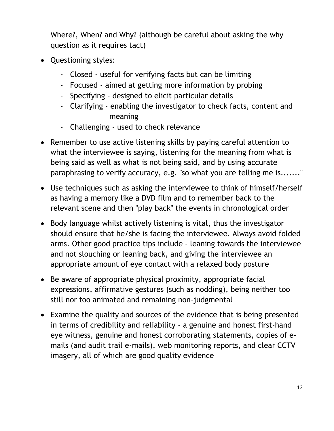Where?, When? and Why? (although be careful about asking the why question as it requires tact)

- Questioning styles:
	- Closed useful for verifying facts but can be limiting
	- Focused aimed at getting more information by probing
	- Specifying designed to elicit particular details
	- Clarifying enabling the investigator to check facts, content and meaning
	- Challenging used to check relevance
- Remember to use active listening skills by paying careful attention to what the interviewee is saying, listening for the meaning from what is being said as well as what is not being said, and by using accurate paraphrasing to verify accuracy, e.g. "so what you are telling me is......."
- Use techniques such as asking the interviewee to think of himself/herself as having a memory like a DVD film and to remember back to the relevant scene and then "play back" the events in chronological order
- Body language whilst actively listening is vital, thus the investigator should ensure that he/she is facing the interviewee. Always avoid folded arms. Other good practice tips include - leaning towards the interviewee and not slouching or leaning back, and giving the interviewee an appropriate amount of eye contact with a relaxed body posture
- Be aware of appropriate physical proximity, appropriate facial expressions, affirmative gestures (such as nodding), being neither too still nor too animated and remaining non-judgmental
- Examine the quality and sources of the evidence that is being presented in terms of credibility and reliability - a genuine and honest first-hand eye witness, genuine and honest corroborating statements, copies of emails (and audit trail e-mails), web monitoring reports, and clear CCTV imagery, all of which are good quality evidence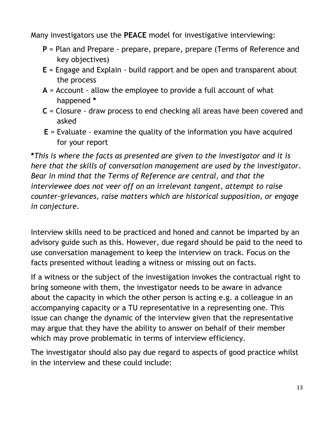Many investigators use the **PEACE** model for investigative interviewing:

- **P** = Plan and Prepare prepare, prepare, prepare (Terms of Reference and key objectives)
- **E** = Engage and Explain build rapport and be open and transparent about the process
- **A** = Account allow the employee to provide a full account of what happened **\***
- **C** = Closure draw process to end checking all areas have been covered and asked
- **E** = Evaluate examine the quality of the information you have acquired for your report

**\****This is where the facts as presented are given to the investigator and it is here that the skills of conversation management are used by the investigator. Bear in mind that the Terms of Reference are central, and that the interviewee does not veer off on an irrelevant tangent, attempt to raise counter-grievances, raise matters which are historical supposition, or engage in conjecture.*

Interview skills need to be practiced and honed and cannot be imparted by an advisory guide such as this. However, due regard should be paid to the need to use conversation management to keep the interview on track. Focus on the facts presented without leading a witness or missing out on facts.

If a witness or the subject of the investigation invokes the contractual right to bring someone with them, the investigator needs to be aware in advance about the capacity in which the other person is acting e.g. a colleague in an accompanying capacity or a TU representative in a representing one. This issue can change the dynamic of the interview given that the representative may argue that they have the ability to answer on behalf of their member which may prove problematic in terms of interview efficiency.

The investigator should also pay due regard to aspects of good practice whilst in the interview and these could include: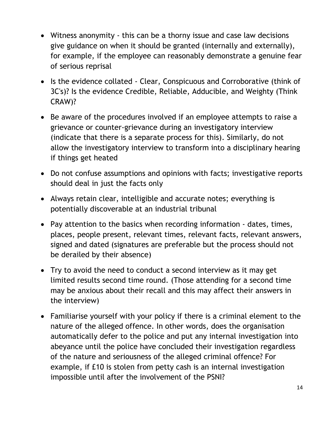- Witness anonymity this can be a thorny issue and case law decisions give guidance on when it should be granted (internally and externally), for example, if the employee can reasonably demonstrate a genuine fear of serious reprisal
- Is the evidence collated Clear, Conspicuous and Corroborative (think of 3C's)? Is the evidence Credible, Reliable, Adducible, and Weighty (Think CRAW)?
- Be aware of the procedures involved if an employee attempts to raise a grievance or counter-grievance during an investigatory interview (indicate that there is a separate process for this). Similarly, do not allow the investigatory interview to transform into a disciplinary hearing if things get heated
- Do not confuse assumptions and opinions with facts; investigative reports should deal in just the facts only
- Always retain clear, intelligible and accurate notes; everything is potentially discoverable at an industrial tribunal
- Pay attention to the basics when recording information dates, times, places, people present, relevant times, relevant facts, relevant answers, signed and dated (signatures are preferable but the process should not be derailed by their absence)
- Try to avoid the need to conduct a second interview as it may get limited results second time round. (Those attending for a second time may be anxious about their recall and this may affect their answers in the interview)
- Familiarise yourself with your policy if there is a criminal element to the nature of the alleged offence. In other words, does the organisation automatically defer to the police and put any internal investigation into abeyance until the police have concluded their investigation regardless of the nature and seriousness of the alleged criminal offence? For example, if £10 is stolen from petty cash is an internal investigation impossible until after the involvement of the PSNI?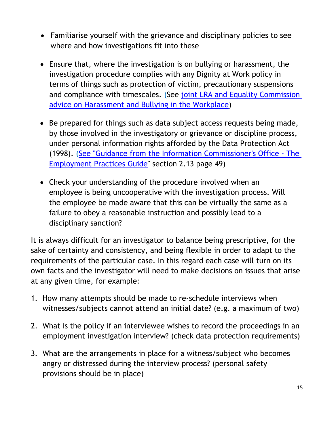- Familiarise yourself with the grievance and disciplinary policies to see where and how investigations fit into these
- Ensure that, where the investigation is on bullying or harassment, the investigation procedure complies with any Dignity at Work policy in terms of things such as protection of victim, precautionary suspensions and compliance with timescales. (See joint LRA and Equality Commission [advice on Harassment and Bullying in the Workplace\)](https://www.lra.org.uk/publications/agency-publications/advice-and-guidance-on-employment-matters/joint-ecni-lra-publications/harassment-and-bullying-in-the-workplace)
- Be prepared for things such as data subject access requests being made, by those involved in the investigatory or grievance or discipline process, under personal information rights afforded by the Data Protection Act (1998). [\(See "Guidance from the Information Commissioner's Office -](https://ico.org.uk/media/for-organisations/documents/1064/the_employment_practices_code.pdf) The [Employment Practices Guide"](https://ico.org.uk/media/for-organisations/documents/1064/the_employment_practices_code.pdf) section 2.13 page 49)
- Check your understanding of the procedure involved when an employee is being uncooperative with the investigation process. Will the employee be made aware that this can be virtually the same as a failure to obey a reasonable instruction and possibly lead to a disciplinary sanction?

It is always difficult for an investigator to balance being prescriptive, for the sake of certainty and consistency, and being flexible in order to adapt to the requirements of the particular case. In this regard each case will turn on its own facts and the investigator will need to make decisions on issues that arise at any given time, for example:

- 1. How many attempts should be made to re-schedule interviews when witnesses/subjects cannot attend an initial date? (e.g. a maximum of two)
- 2. What is the policy if an interviewee wishes to record the proceedings in an employment investigation interview? (check data protection requirements)
- 3. What are the arrangements in place for a witness/subject who becomes angry or distressed during the interview process? (personal safety provisions should be in place)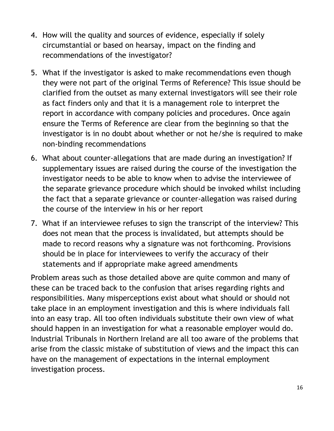- 4. How will the quality and sources of evidence, especially if solely circumstantial or based on hearsay, impact on the finding and recommendations of the investigator?
- 5. What if the investigator is asked to make recommendations even though they were not part of the original Terms of Reference? This issue should be clarified from the outset as many external investigators will see their role as fact finders only and that it is a management role to interpret the report in accordance with company policies and procedures. Once again ensure the Terms of Reference are clear from the beginning so that the investigator is in no doubt about whether or not he/she is required to make non-binding recommendations
- 6. What about counter-allegations that are made during an investigation? If supplementary issues are raised during the course of the investigation the investigator needs to be able to know when to advise the interviewee of the separate grievance procedure which should be invoked whilst including the fact that a separate grievance or counter-allegation was raised during the course of the interview in his or her report
- 7. What if an interviewee refuses to sign the transcript of the interview? This does not mean that the process is invalidated, but attempts should be made to record reasons why a signature was not forthcoming. Provisions should be in place for interviewees to verify the accuracy of their statements and if appropriate make agreed amendments

Problem areas such as those detailed above are quite common and many of these can be traced back to the confusion that arises regarding rights and responsibilities. Many misperceptions exist about what should or should not take place in an employment investigation and this is where individuals fall into an easy trap. All too often individuals substitute their own view of what should happen in an investigation for what a reasonable employer would do. Industrial Tribunals in Northern Ireland are all too aware of the problems that arise from the classic mistake of substitution of views and the impact this can have on the management of expectations in the internal employment investigation process.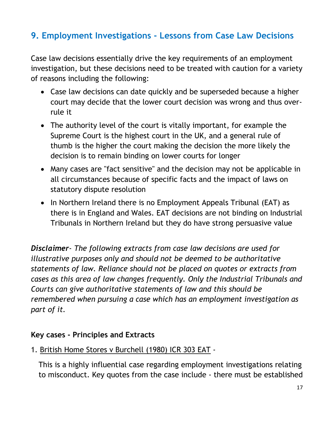# <span id="page-18-0"></span>**9. Employment Investigations - Lessons from Case Law Decisions**

Case law decisions essentially drive the key requirements of an employment investigation, but these decisions need to be treated with caution for a variety of reasons including the following:

- Case law decisions can date quickly and be superseded because a higher court may decide that the lower court decision was wrong and thus overrule it
- The authority level of the court is vitally important, for example the Supreme Court is the highest court in the UK, and a general rule of thumb is the higher the court making the decision the more likely the decision is to remain binding on lower courts for longer
- Many cases are "fact sensitive" and the decision may not be applicable in all circumstances because of specific facts and the impact of laws on statutory dispute resolution
- In Northern Ireland there is no Employment Appeals Tribunal (EAT) as there is in England and Wales. EAT decisions are not binding on Industrial Tribunals in Northern Ireland but they do have strong persuasive value

*Disclaimer- The following extracts from case law decisions are used for illustrative purposes only and should not be deemed to be authoritative statements of law. Reliance should not be placed on quotes or extracts from cases as this area of law changes frequently. Only the Industrial Tribunals and Courts can give authoritative statements of law and this should be remembered when pursuing a case which has an employment investigation as part of it.*

#### **Key cases - Principles and Extracts**

#### 1. British Home Stores v Burchell (1980) ICR 303 EAT -

This is a highly influential case regarding employment investigations relating to misconduct. Key quotes from the case include - there must be established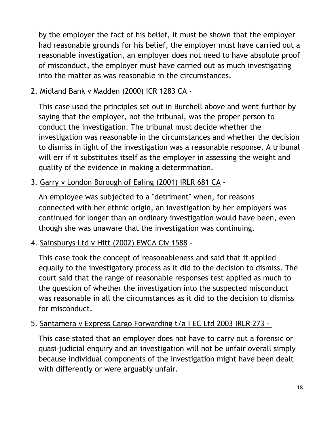by the employer the fact of his belief, it must be shown that the employer had reasonable grounds for his belief, the employer must have carried out a reasonable investigation, an employer does not need to have absolute proof of misconduct, the employer must have carried out as much investigating into the matter as was reasonable in the circumstances.

2. Midland Bank v Madden (2000) ICR 1283 CA -

This case used the principles set out in Burchell above and went further by saying that the employer, not the tribunal, was the proper person to conduct the investigation. The tribunal must decide whether the investigation was reasonable in the circumstances and whether the decision to dismiss in light of the investigation was a reasonable response. A tribunal will err if it substitutes itself as the employer in assessing the weight and quality of the evidence in making a determination.

3. Garry v London Borough of Ealing (2001) IRLR 681 CA -

An employee was subjected to a "detriment" when, for reasons connected with her ethnic origin, an investigation by her employers was continued for longer than an ordinary investigation would have been, even though she was unaware that the investigation was continuing.

4. Sainsburys Ltd v Hitt (2002) EWCA Civ 1588 -

This case took the concept of reasonableness and said that it applied equally to the investigatory process as it did to the decision to dismiss. The court said that the range of reasonable responses test applied as much to the question of whether the investigation into the suspected misconduct was reasonable in all the circumstances as it did to the decision to dismiss for misconduct.

#### 5. Santamera v Express Cargo Forwarding t/a I EC Ltd 2003 IRLR 273 -

This case stated that an employer does not have to carry out a forensic or quasi-judicial enquiry and an investigation will not be unfair overall simply because individual components of the investigation might have been dealt with differently or were arguably unfair.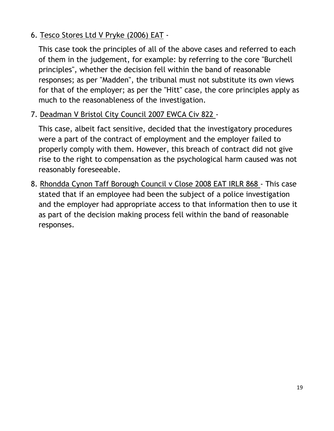#### 6. Tesco Stores Ltd V Pryke (2006) EAT -

This case took the principles of all of the above cases and referred to each of them in the judgement, for example: by referring to the core "Burchell principles", whether the decision fell within the band of reasonable responses; as per "Madden", the tribunal must not substitute its own views for that of the employer; as per the "Hitt" case, the core principles apply as much to the reasonableness of the investigation.

#### 7. Deadman V Bristol City Council 2007 EWCA Civ 822 -

This case, albeit fact sensitive, decided that the investigatory procedures were a part of the contract of employment and the employer failed to properly comply with them. However, this breach of contract did not give rise to the right to compensation as the psychological harm caused was not reasonably foreseeable.

8. Rhondda Cynon Taff Borough Council v Close 2008 EAT IRLR 868 - This case stated that if an employee had been the subject of a police investigation and the employer had appropriate access to that information then to use it as part of the decision making process fell within the band of reasonable responses.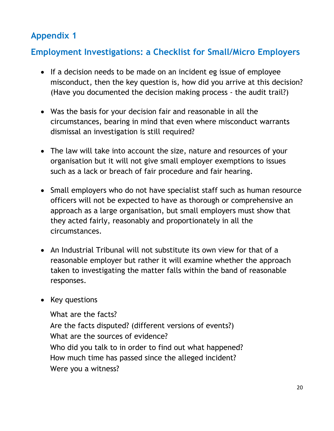# <span id="page-21-0"></span>**Appendix 1**

# **Employment Investigations: a Checklist for Small/Micro Employers**

- If a decision needs to be made on an incident eg issue of employee misconduct, then the key question is, how did you arrive at this decision? (Have you documented the decision making process - the audit trail?)
- Was the basis for your decision fair and reasonable in all the circumstances, bearing in mind that even where misconduct warrants dismissal an investigation is still required?
- The law will take into account the size, nature and resources of your organisation but it will not give small employer exemptions to issues such as a lack or breach of fair procedure and fair hearing.
- Small employers who do not have specialist staff such as human resource officers will not be expected to have as thorough or comprehensive an approach as a large organisation, but small employers must show that they acted fairly, reasonably and proportionately in all the circumstances.
- An Industrial Tribunal will not substitute its own view for that of a reasonable employer but rather it will examine whether the approach taken to investigating the matter falls within the band of reasonable responses.
- Key questions

What are the facts? Are the facts disputed? (different versions of events?) What are the sources of evidence? Who did you talk to in order to find out what happened? How much time has passed since the alleged incident? Were you a witness?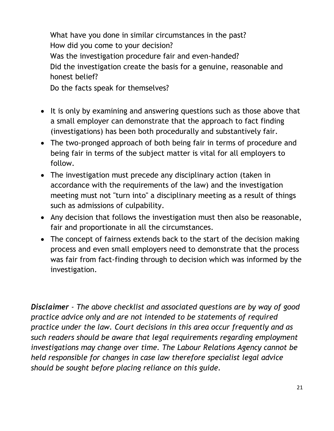What have you done in similar circumstances in the past? How did you come to your decision? Was the investigation procedure fair and even-handed? Did the investigation create the basis for a genuine, reasonable and honest belief?

Do the facts speak for themselves?

- It is only by examining and answering questions such as those above that a small employer can demonstrate that the approach to fact finding (investigations) has been both procedurally and substantively fair.
- The two-pronged approach of both being fair in terms of procedure and being fair in terms of the subject matter is vital for all employers to follow.
- The investigation must precede any disciplinary action (taken in accordance with the requirements of the law) and the investigation meeting must not "turn into" a disciplinary meeting as a result of things such as admissions of culpability.
- Any decision that follows the investigation must then also be reasonable, fair and proportionate in all the circumstances.
- The concept of fairness extends back to the start of the decision making process and even small employers need to demonstrate that the process was fair from fact-finding through to decision which was informed by the investigation.

*Disclaimer - The above checklist and associated questions are by way of good practice advice only and are not intended to be statements of required practice under the law. Court decisions in this area occur frequently and as such readers should be aware that legal requirements regarding employment investigations may change over time. The Labour Relations Agency cannot be held responsible for changes in case law therefore specialist legal advice should be sought before placing reliance on this guide.*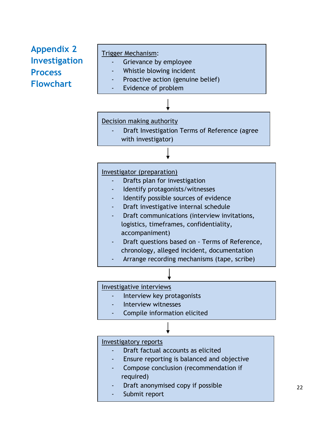# <span id="page-23-0"></span>**Appendix 2 Investigation Process Flowchart**

#### Trigger Mechanism:

- Grievance by employee
- Whistle blowing incident
- Proactive action (genuine belief)
- Evidence of problem

#### Decision making authority

Draft Investigation Terms of Reference (agree with investigator)

#### Investigator (preparation)

- Drafts plan for investigation
- Identify protagonists/witnesses
- Identify possible sources of evidence
- Draft investigative internal schedule
- Draft communications (interview invitations, logistics, timeframes, confidentiality, accompaniment)
- Draft questions based on Terms of Reference, chronology, alleged incident, documentation
- Arrange recording mechanisms (tape, scribe)

#### Investigative interviews

- Interview key protagonists
- Interview witnesses
- Compile information elicited

#### Investigatory reports

- Draft factual accounts as elicited
- Ensure reporting is balanced and objective
- Compose conclusion (recommendation if required)
- Draft anonymised copy if possible
- Submit report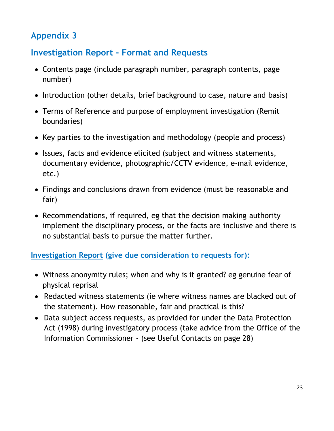# <span id="page-24-0"></span>**Appendix 3**

## **Investigation Report - Format and Requests**

- Contents page (include paragraph number, paragraph contents, page number)
- Introduction (other details, brief background to case, nature and basis)
- Terms of Reference and purpose of employment investigation (Remit boundaries)
- Key parties to the investigation and methodology (people and process)
- Issues, facts and evidence elicited (subject and witness statements, documentary evidence, photographic/CCTV evidence, e-mail evidence, etc.)
- Findings and conclusions drawn from evidence (must be reasonable and fair)
- Recommendations, if required, eg that the decision making authority implement the disciplinary process, or the facts are inclusive and there is no substantial basis to pursue the matter further.

#### **Investigation Report (give due consideration to requests for):**

- Witness anonymity rules; when and why is it granted? eg genuine fear of physical reprisal
- Redacted witness statements (ie where witness names are blacked out of the statement). How reasonable, fair and practical is this?
- Data subject access requests, as provided for under the Data Protection Act (1998) during investigatory process (take advice from the Office of the Information Commissioner - (see Useful Contacts on page 28)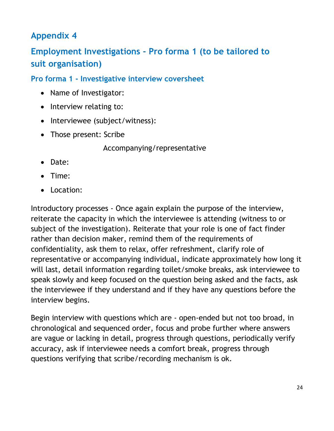# <span id="page-25-0"></span>**Appendix 4**

# **Employment Investigations - Pro forma 1 (to be tailored to suit organisation)**

#### **Pro forma 1 - Investigative interview coversheet**

- Name of Investigator:
- Interview relating to:
- Interviewee (subject/witness):
- Those present: Scribe

Accompanying/representative

- Date:
- Time:
- Location:

Introductory processes - Once again explain the purpose of the interview, reiterate the capacity in which the interviewee is attending (witness to or subject of the investigation). Reiterate that your role is one of fact finder rather than decision maker, remind them of the requirements of confidentiality, ask them to relax, offer refreshment, clarify role of representative or accompanying individual, indicate approximately how long it will last, detail information regarding toilet/smoke breaks, ask interviewee to speak slowly and keep focused on the question being asked and the facts, ask the interviewee if they understand and if they have any questions before the interview begins.

Begin interview with questions which are - open-ended but not too broad, in chronological and sequenced order, focus and probe further where answers are vague or lacking in detail, progress through questions, periodically verify accuracy, ask if interviewee needs a comfort break, progress through questions verifying that scribe/recording mechanism is ok.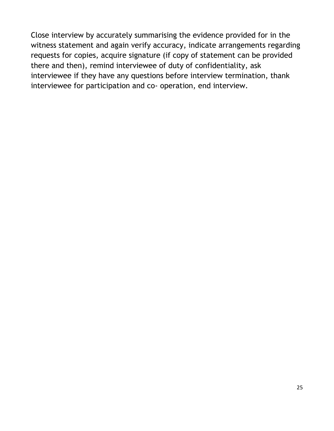Close interview by accurately summarising the evidence provided for in the witness statement and again verify accuracy, indicate arrangements regarding requests for copies, acquire signature (if copy of statement can be provided there and then), remind interviewee of duty of confidentiality, ask interviewee if they have any questions before interview termination, thank interviewee for participation and co- operation, end interview.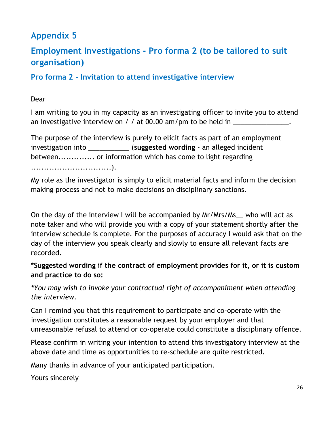# <span id="page-27-0"></span>**Appendix 5**

# **Employment Investigations - Pro forma 2 (to be tailored to suit organisation)**

#### **Pro forma 2 - Invitation to attend investigative interview**

#### Dear

I am writing to you in my capacity as an investigating officer to invite you to attend an investigative interview on / / at 00.00 am/pm to be held in  $\Box$ 

The purpose of the interview is purely to elicit facts as part of an employment investigation into \_\_\_\_\_\_\_\_\_\_\_ (**suggested wording** - an alleged incident between.............. or information which has come to light regarding ...............................).

My role as the investigator is simply to elicit material facts and inform the decision making process and not to make decisions on disciplinary sanctions.

On the day of the interview I will be accompanied by Mr/Mrs/Ms who will act as note taker and who will provide you with a copy of your statement shortly after the interview schedule is complete. For the purposes of accuracy I would ask that on the day of the interview you speak clearly and slowly to ensure all relevant facts are recorded.

#### **\*Suggested wording if the contract of employment provides for it, or it is custom and practice to do so:**

*\*You may wish to invoke your contractual right of accompaniment when attending the interview.*

Can I remind you that this requirement to participate and co-operate with the investigation constitutes a reasonable request by your employer and that unreasonable refusal to attend or co-operate could constitute a disciplinary offence.

Please confirm in writing your intention to attend this investigatory interview at the above date and time as opportunities to re-schedule are quite restricted.

Many thanks in advance of your anticipated participation.

Yours sincerely